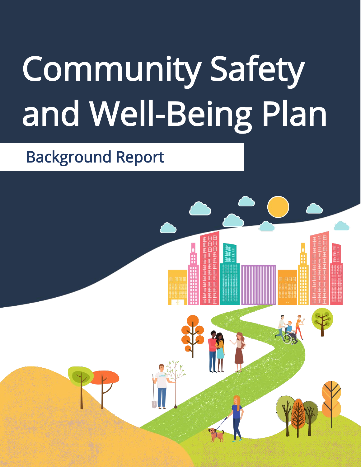# Community Safety and Well-Being Plan

# Background Report

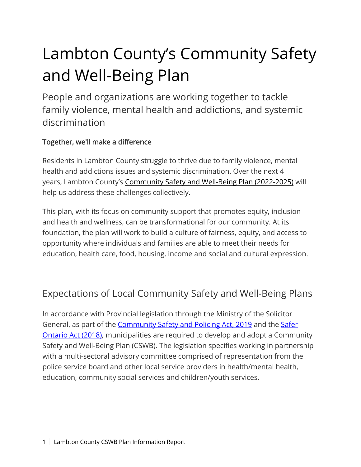# Lambton County's Community Safety and Well-Being Plan

People and organizations are working together to tackle family violence, mental health and addictions, and systemic discrimination

# Together, we'll make a difference

Residents in Lambton County struggle to thrive due to family violence, mental health and addictions issues and systemic discrimination. Over the next 4 years, Lambton County's Community Safety and Well-Being Plan (2022-2025) will help us address these challenges collectively.

This plan, with its focus on community support that promotes equity, inclusion and health and wellness, can be transformational for our community. At its foundation, the plan will work to build a culture of fairness, equity, and access to opportunity where individuals and families are able to meet their needs for education, health care, food, housing, income and social and cultural expression.

# Expectations of Local Community Safety and Well-Being Plans

In accordance with Provincial legislation through the Ministry of the Solicitor General, as part of the [Community Safety and Policing Act, 2019](https://www.ontario.ca/laws/statute/19c01) and the [Safer](https://www.ontario.ca/laws/statute/s18003)  [Ontario Act \(2018\),](https://www.ontario.ca/laws/statute/s18003) municipalities are required to develop and adopt a Community Safety and Well-Being Plan (CSWB). The legislation specifies working in partnership with a multi-sectoral advisory committee comprised of representation from the police service board and other local service providers in health/mental health, education, community social services and children/youth services.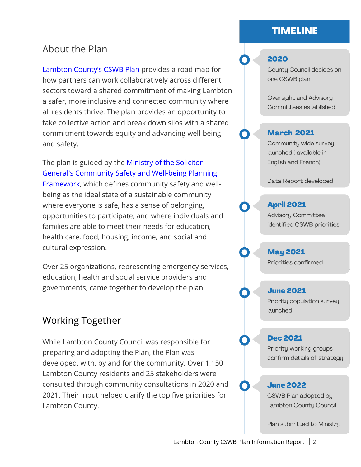# **TIMELINE**

# About the Plan

Lambton County's CSWB Plan provides a road map for how partners can work collaboratively across different sectors toward a shared commitment of making Lambton a safer, more inclusive and connected community where all residents thrive. The plan provides an opportunity to take collective action and break down silos with a shared commitment towards equity and advancing well-being and safety.

The plan is guided by the [Ministry of the Solicitor](https://www.ontario.ca/document/community-safety-and-well-being-planning-framework-booklet-3-shared-commitment-ontario)  [General's Community Safety and Well-being Planning](https://www.ontario.ca/document/community-safety-and-well-being-planning-framework-booklet-3-shared-commitment-ontario)  [Framework,](https://www.ontario.ca/document/community-safety-and-well-being-planning-framework-booklet-3-shared-commitment-ontario) which defines community safety and wellbeing as the ideal state of a sustainable community where everyone is safe, has a sense of belonging, opportunities to participate, and where individuals and families are able to meet their needs for education, health care, food, housing, income, and social and cultural expression.

Over 25 organizations, representing emergency services, education, health and social service providers and governments, came together to develop the plan.

# Working Together

While Lambton County Council was responsible for preparing and adopting the Plan, the Plan was developed, with, by and for the community. Over 1,150 Lambton County residents and 25 stakeholders were consulted through community consultations in 2020 and 2021. Their input helped clarify the top five priorities for Lambton County.

## 2020

County Council decides on one CSWB plan

Oversight and Advisory Committees established

#### **March 2021**

Community wide survey launched (available in English and French)

Data Report developed

#### **April 2021**

**Advisory Committee** identified CSWB priorities

**May 2021** Priorities confirmed

#### **June 2021**

Priority population survey launched

#### **Dec 2021**

Priority working groups confirm details of strategy

#### **June 2022**

CSWB Plan adopted by Lambton County Council

Plan submitted to Ministry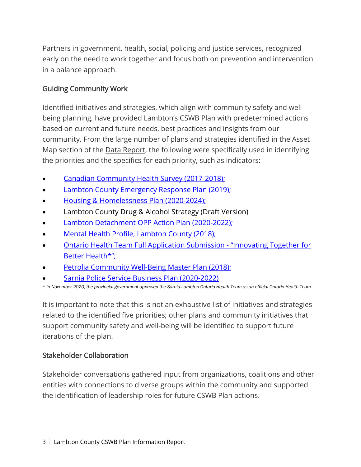Partners in government, health, social, policing and justice services, recognized early on the need to work together and focus both on prevention and intervention in a balance approach.

### Guiding Community Work

Identified initiatives and strategies, which align with community safety and wellbeing planning, have provided Lambton's CSWB Plan with predetermined actions based on current and future needs, best practices and insights from our community. From the large number of plans and strategies identified in the Asset Map section of the **Data Report**, the following were specifically used in identifying the priorities and the specifics for each priority, such as indicators:

- [Canadian Community Health Survey \(2017-2018\);](https://www150.statcan.gc.ca/t1/tbl1/en/cv.action?pid=1310011301)
- **Lambton County Emergency Response Plan (2019);**
- [Housing & Homelessness Plan \(2020-2024\);](https://www.lambtononline.ca/en/resident-services/resources/Documents/Housing/County-of-Lambton-Housing-and-Homelessness-Plan--Jan.-17-2020--Final.pdf)
- Lambton County Drug & Alcohol Strategy (Draft Version)
- **[Lambton Detachment OPP Action Plan \(2020-2022\);](https://www.opp.ca/tms/entrydata.php?fnc=3&_id=60995ff1d4d5360ce22bd954)**
- [Mental Health Profile, Lambton County \(2018\);](https://www.lambtononline.ca/en/resident-services/resources/Documents/CSWB-Plan/Mental-Health-Profile-Lambton-County-2018.pdf)
- [Ontario Health Team Full Application Submission "Innovating Together for](https://www.sarnialambtonoht.ca/wp-content/uploads/2020/10/SL-OHT-Full-Application-Sept-17-2020.pdf)  [Better Health\\*";](https://www.sarnialambtonoht.ca/wp-content/uploads/2020/10/SL-OHT-Full-Application-Sept-17-2020.pdf)
- [Petrolia Community Well-Being Master Plan \(2018\);](http://town.petrolia.on.ca/wp-content/uploads/2021/03/Health-Hub-Final-Report.pdf)
- [Sarnia Police Service Business Plan \(2020-2022\)](https://www.sarniapolice.com/wp-content/uploads/2020/06/Business-Plan-2020-March4.pdf)

*\* In November 2020, the provincial government approved the Sarnia-Lambton Ontario Health Team as an official Ontario Health Team.*

It is important to note that this is not an exhaustive list of initiatives and strategies related to the identified five priorities; other plans and community initiatives that support community safety and well-being will be identified to support future iterations of the plan.

#### Stakeholder Collaboration

Stakeholder conversations gathered input from organizations, coalitions and other entities with connections to diverse groups within the community and supported the identification of leadership roles for future CSWB Plan actions.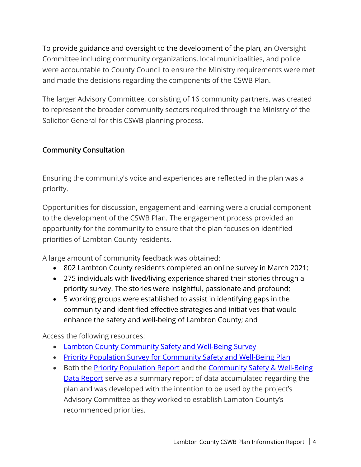To provide guidance and oversight to the development of the plan, an Oversight Committee including community organizations, local municipalities, and police were accountable to County Council to ensure the Ministry requirements were met and made the decisions regarding the components of the CSWB Plan.

The larger Advisory Committee, consisting of 16 community partners, was created to represent the broader community sectors required through the Ministry of the Solicitor General for this CSWB planning process.

### Community Consultation

Ensuring the community's voice and experiences are reflected in the plan was a priority.

Opportunities for discussion, engagement and learning were a crucial component to the development of the CSWB Plan. The engagement process provided an opportunity for the community to ensure that the plan focuses on identified priorities of Lambton County residents.

A large amount of community feedback was obtained:

- 802 Lambton County residents completed an online survey in March 2021;
- 275 individuals with lived/living experience shared their stories through a priority survey. The stories were insightful, passionate and profound;
- 5 working groups were established to assist in identifying gaps in the community and identified effective strategies and initiatives that would enhance the safety and well-being of Lambton County; and

Access the following resources:

- [Lambton County Community Safety and Well-Being Survey](https://www.lambtononline.ca/en/resident-services/resources/Documents/CSWB-Plan/Lambton-CSWB-survey.pdf)
- Priority Population Survey for Community Safety and Well-Being Plan
- Both the **[Priority Population Report](https://www.lambtononline.ca/en/resident-services/resources/Documents/CSWB-Plan/Living.Lived-experience-Report.pdf)** and the **Community Safety & Well-Being** [Data Report](https://www.lambtononline.ca/en/resident-services/resources/Documents/CSWB-Plan/Community-Safety--Well-Being-Data-Report.pdf) serve as a summary report of data accumulated regarding the plan and was developed with the intention to be used by the project's Advisory Committee as they worked to establish Lambton County's recommended priorities.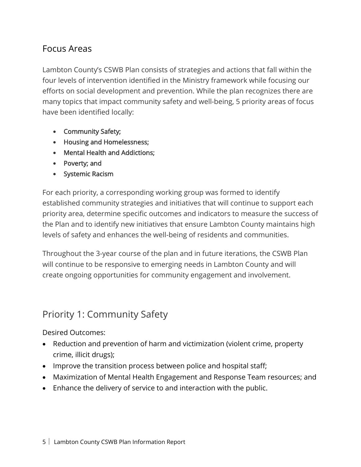# Focus Areas

Lambton County's CSWB Plan consists of strategies and actions that fall within the four levels of intervention identified in the Ministry framework while focusing our efforts on social development and prevention. While the plan recognizes there are many topics that impact community safety and well-being, 5 priority areas of focus have been identified locally:

- Community Safety;
- Housing and Homelessness;
- Mental Health and Addictions;
- Poverty; and
- Systemic Racism

For each priority, a corresponding working group was formed to identify established community strategies and initiatives that will continue to support each priority area, determine specific outcomes and indicators to measure the success of the Plan and to identify new initiatives that ensure Lambton County maintains high levels of safety and enhances the well-being of residents and communities.

Throughout the 3-year course of the plan and in future iterations, the CSWB Plan will continue to be responsive to emerging needs in Lambton County and will create ongoing opportunities for community engagement and involvement.

# Priority 1: Community Safety

Desired Outcomes:

- Reduction and prevention of harm and victimization (violent crime, property crime, illicit drugs);
- Improve the transition process between police and hospital staff;
- Maximization of Mental Health Engagement and Response Team resources; and
- Enhance the delivery of service to and interaction with the public.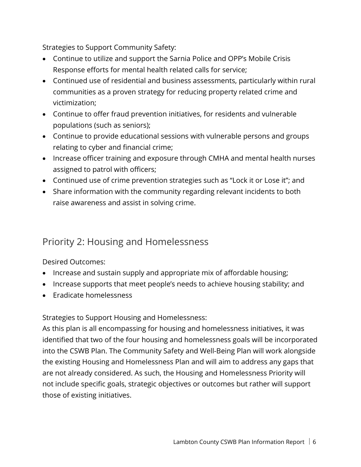Strategies to Support Community Safety:

- Continue to utilize and support the Sarnia Police and OPP's Mobile Crisis Response efforts for mental health related calls for service;
- Continued use of residential and business assessments, particularly within rural communities as a proven strategy for reducing property related crime and victimization;
- Continue to offer fraud prevention initiatives, for residents and vulnerable populations (such as seniors);
- Continue to provide educational sessions with vulnerable persons and groups relating to cyber and financial crime;
- Increase officer training and exposure through CMHA and mental health nurses assigned to patrol with officers;
- Continued use of crime prevention strategies such as "Lock it or Lose it"; and
- Share information with the community regarding relevant incidents to both raise awareness and assist in solving crime.

# Priority 2: Housing and Homelessness

#### Desired Outcomes:

- Increase and sustain supply and appropriate mix of affordable housing;
- Increase supports that meet people's needs to achieve housing stability; and
- Eradicate homelessness

Strategies to Support Housing and Homelessness:

As this plan is all encompassing for housing and homelessness initiatives, it was identified that two of the four housing and homelessness goals will be incorporated into the CSWB Plan. The Community Safety and Well-Being Plan will work alongside the existing Housing and Homelessness Plan and will aim to address any gaps that are not already considered. As such, the Housing and Homelessness Priority will not include specific goals, strategic objectives or outcomes but rather will support those of existing initiatives.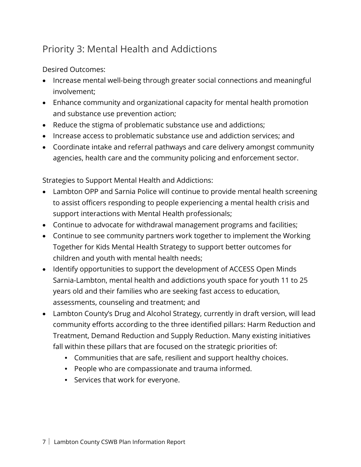# Priority 3: Mental Health and Addictions

Desired Outcomes:

- Increase mental well-being through greater social connections and meaningful involvement;
- Enhance community and organizational capacity for mental health promotion and substance use prevention action;
- Reduce the stigma of problematic substance use and addictions;
- Increase access to problematic substance use and addiction services; and
- Coordinate intake and referral pathways and care delivery amongst community agencies, health care and the community policing and enforcement sector.

Strategies to Support Mental Health and Addictions:

- Lambton OPP and Sarnia Police will continue to provide mental health screening to assist officers responding to people experiencing a mental health crisis and support interactions with Mental Health professionals;
- Continue to advocate for withdrawal management programs and facilities;
- Continue to see community partners work together to implement the Working Together for Kids Mental Health Strategy to support better outcomes for children and youth with mental health needs;
- Identify opportunities to support the development of ACCESS Open Minds Sarnia-Lambton, mental health and addictions youth space for youth 11 to 25 years old and their families who are seeking fast access to education, assessments, counseling and treatment; and
- Lambton County's Drug and Alcohol Strategy, currently in draft version, will lead community efforts according to the three identified pillars: Harm Reduction and Treatment, Demand Reduction and Supply Reduction. Many existing initiatives fall within these pillars that are focused on the strategic priorities of:
	- Communities that are safe, resilient and support healthy choices.
	- People who are compassionate and trauma informed.
	- Services that work for everyone.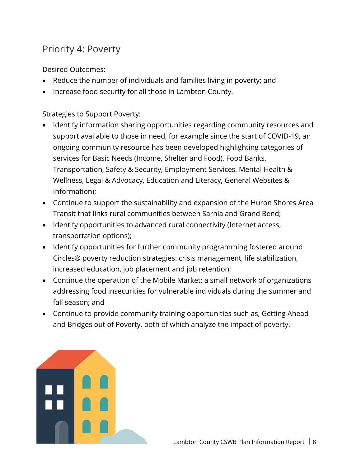# Priority 4: Poverty

Desired Outcomes:

- Reduce the number of individuals and families living in poverty; and
- Increase food security for all those in Lambton County.

Strategies to Support Poverty:

- Identify information sharing opportunities regarding community resources and support available to those in need, for example since the start of COVID-19, an ongoing community resource has been developed highlighting categories of services for Basic Needs (Income, Shelter and Food), Food Banks, Transportation, Safety & Security, Employment Services, Mental Health & Wellness, Legal & Advocacy, Education and Literacy, General Websites & Information);
- Continue to support the sustainability and expansion of the Huron Shores Area Transit that links rural communities between Sarnia and Grand Bend;
- Identify opportunities to advanced rural connectivity (Internet access, transportation options);
- Identify opportunities for further community programming fostered around Circles® poverty reduction strategies: crisis management, life stabilization, increased education, job placement and job retention;
- Continue the operation of the Mobile Market; a small network of organizations addressing food insecurities for vulnerable individuals during the summer and fall season; and
- Continue to provide community training opportunities such as, Getting Ahead and Bridges out of Poverty, both of which analyze the impact of poverty.

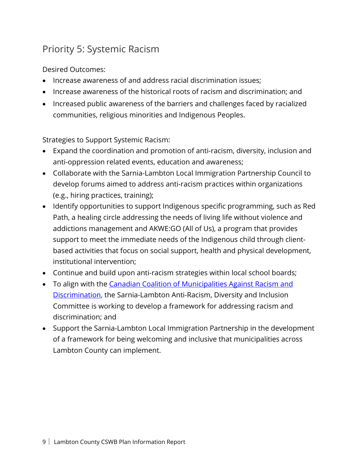# Priority 5: Systemic Racism

Desired Outcomes:

- Increase awareness of and address racial discrimination issues;
- Increase awareness of the historical roots of racism and discrimination; and
- Increased public awareness of the barriers and challenges faced by racialized communities, religious minorities and Indigenous Peoples.

Strategies to Support Systemic Racism:

- Expand the coordination and promotion of anti-racism, diversity, inclusion and anti-oppression related events, education and awareness;
- Collaborate with the Sarnia-Lambton Local Immigration Partnership Council to develop forums aimed to address anti-racism practices within organizations (e.g., hiring practices, training);
- Identify opportunities to support Indigenous specific programming, such as Red Path, a healing circle addressing the needs of living life without violence and addictions management and AKWE:GO (All of Us), a program that provides support to meet the immediate needs of the Indigenous child through clientbased activities that focus on social support, health and physical development, institutional intervention;
- Continue and build upon anti-racism strategies within local school boards;
- To align with the Canadian Coalition of Municipalities Against Racism and Discrimination, the Sarnia-Lambton Anti-Racism, Diversity and Inclusion Committee is working to develop a framework for addressing racism and discrimination; and
- Support the Sarnia-Lambton Local Immigration Partnership in the development of a framework for being welcoming and inclusive that municipalities across Lambton County can implement.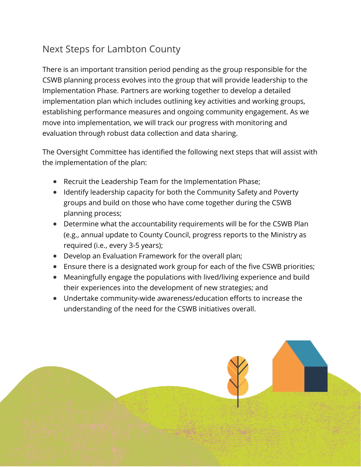# Next Steps for Lambton County

There is an important transition period pending as the group responsible for the CSWB planning process evolves into the group that will provide leadership to the Implementation Phase. Partners are working together to develop a detailed implementation plan which includes outlining key activities and working groups, establishing performance measures and ongoing community engagement. As we move into implementation, we will track our progress with monitoring and evaluation through robust data collection and data sharing.

The Oversight Committee has identified the following next steps that will assist with the implementation of the plan:

- Recruit the Leadership Team for the Implementation Phase;
- Identify leadership capacity for both the Community Safety and Poverty groups and build on those who have come together during the CSWB planning process;
- Determine what the accountability requirements will be for the CSWB Plan (e.g., annual update to County Council, progress reports to the Ministry as required (i.e., every 3-5 years);
- Develop an Evaluation Framework for the overall plan;
- Ensure there is a designated work group for each of the five CSWB priorities;
- Meaningfully engage the populations with lived/living experience and build their experiences into the development of new strategies; and
- Undertake community-wide awareness/education efforts to increase the understanding of the need for the CSWB initiatives overall.

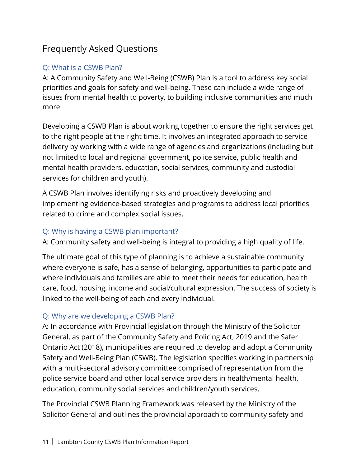# Frequently Asked Questions

# Q: What is a CSWB Plan?

A: A Community Safety and Well-Being (CSWB) Plan is a tool to address key social priorities and goals for safety and well-being. These can include a wide range of issues from mental health to poverty, to building inclusive communities and much more.

Developing a CSWB Plan is about working together to ensure the right services get to the right people at the right time. It involves an integrated approach to service delivery by working with a wide range of agencies and organizations (including but not limited to local and regional government, police service, public health and mental health providers, education, social services, community and custodial services for children and youth).

A CSWB Plan involves identifying risks and proactively developing and implementing evidence-based strategies and programs to address local priorities related to crime and complex social issues.

## Q: Why is having a CSWB plan important?

A: Community safety and well-being is integral to providing a high quality of life.

The ultimate goal of this type of planning is to achieve a sustainable community where everyone is safe, has a sense of belonging, opportunities to participate and where individuals and families are able to meet their needs for education, health care, food, housing, income and social/cultural expression. The success of society is linked to the well-being of each and every individual.

# Q: Why are we developing a CSWB Plan?

A: In accordance with Provincial legislation through the Ministry of the Solicitor General, as part of the Community Safety and Policing Act, 2019 and the Safer Ontario Act (2018), municipalities are required to develop and adopt a Community Safety and Well-Being Plan (CSWB). The legislation specifies working in partnership with a multi-sectoral advisory committee comprised of representation from the police service board and other local service providers in health/mental health, education, community social services and children/youth services.

The Provincial CSWB Planning Framework was released by the Ministry of the Solicitor General and outlines the provincial approach to community safety and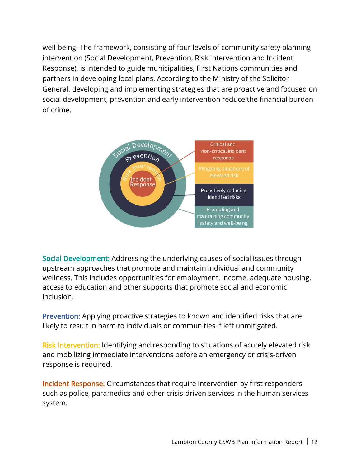well-being. The framework, consisting of four levels of community safety planning intervention (Social Development, Prevention, Risk Intervention and Incident Response), is intended to guide municipalities, First Nations communities and partners in developing local plans. According to the Ministry of the Solicitor General, developing and implementing strategies that are proactive and focused on social development, prevention and early intervention reduce the financial burden of crime.



Social Development: Addressing the underlying causes of social issues through upstream approaches that promote and maintain individual and community wellness. This includes opportunities for employment, income, adequate housing, access to education and other supports that promote social and economic inclusion.

Prevention: Applying proactive strategies to known and identified risks that are likely to result in harm to individuals or communities if left unmitigated.

Risk Intervention: Identifying and responding to situations of acutely elevated risk and mobilizing immediate interventions before an emergency or crisis-driven response is required.

Incident Response: Circumstances that require intervention by first responders such as police, paramedics and other crisis-driven services in the human services system.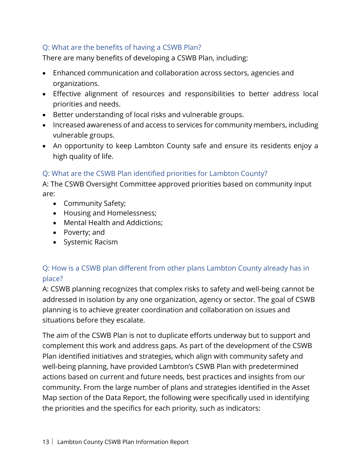## Q: What are the benefits of having a CSWB Plan?

There are many benefits of developing a CSWB Plan, including:

- Enhanced communication and collaboration across sectors, agencies and organizations.
- Effective alignment of resources and responsibilities to better address local priorities and needs.
- Better understanding of local risks and vulnerable groups.
- Increased awareness of and access to services for community members, including vulnerable groups.
- An opportunity to keep Lambton County safe and ensure its residents enjoy a high quality of life.

### Q: What are the CSWB Plan identified priorities for Lambton County?

A: The CSWB Oversight Committee approved priorities based on community input are:

- Community Safety;
- Housing and Homelessness;
- Mental Health and Addictions;
- Poverty; and
- Systemic Racism

# Q: How is a CSWB plan different from other plans Lambton County already has in place?

A: CSWB planning recognizes that complex risks to safety and well-being cannot be addressed in isolation by any one organization, agency or sector. The goal of CSWB planning is to achieve greater coordination and collaboration on issues and situations before they escalate.

The aim of the CSWB Plan is not to duplicate efforts underway but to support and complement this work and address gaps. As part of the development of the CSWB Plan identified initiatives and strategies, which align with community safety and well-being planning, have provided Lambton's CSWB Plan with predetermined actions based on current and future needs, best practices and insights from our community. From the large number of plans and strategies identified in the Asset Map section of the Data Report, the following were specifically used in identifying the priorities and the specifics for each priority, such as indicators: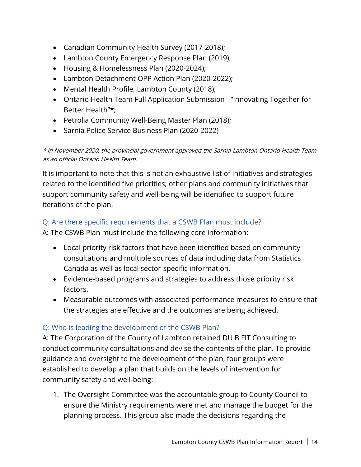- Canadian Community Health Survey (2017-2018);
- Lambton County Emergency Response Plan (2019);
- Housing & Homelessness Plan (2020-2024);
- Lambton Detachment OPP Action Plan (2020-2022);
- Mental Health Profile, Lambton County (2018);
- Ontario Health Team Full Application Submission "Innovating Together for Better Health"\*;
- Petrolia Community Well-Being Master Plan (2018);
- Sarnia Police Service Business Plan (2020-2022)

\* In November 2020, the provincial government approved the Sarnia-Lambton Ontario Health Team as an official Ontario Health Team.

It is important to note that this is not an exhaustive list of initiatives and strategies related to the identified five priorities; other plans and community initiatives that support community safety and well-being will be identified to support future iterations of the plan.

### Q: Are there specific requirements that a CSWB Plan must include?

A: The CSWB Plan must include the following core information:

- Local priority risk factors that have been identified based on community consultations and multiple sources of data including data from Statistics Canada as well as local sector-specific information.
- Evidence-based programs and strategies to address those priority risk factors.
- Measurable outcomes with associated performance measures to ensure that the strategies are effective and the outcomes are being achieved.

# Q: Who is leading the development of the CSWB Plan?

A: The Corporation of the County of Lambton retained DU B FIT Consulting to conduct community consultations and devise the contents of the plan. To provide guidance and oversight to the development of the plan, four groups were established to develop a plan that builds on the levels of intervention for community safety and well-being:

1. The Oversight Committee was the accountable group to County Council to ensure the Ministry requirements were met and manage the budget for the planning process. This group also made the decisions regarding the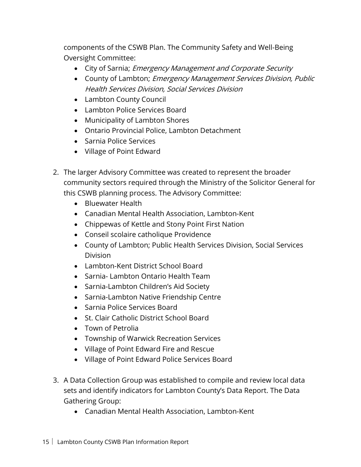components of the CSWB Plan. The Community Safety and Well-Being Oversight Committee:

- City of Sarnia; *Emergency Management and Corporate Security*
- County of Lambton; Emergency Management Services Division, Public Health Services Division, Social Services Division
- Lambton County Council
- Lambton Police Services Board
- Municipality of Lambton Shores
- Ontario Provincial Police, Lambton Detachment
- Sarnia Police Services
- Village of Point Edward
- 2. The larger Advisory Committee was created to represent the broader community sectors required through the Ministry of the Solicitor General for this CSWB planning process. The Advisory Committee:
	- Bluewater Health
	- Canadian Mental Health Association, Lambton-Kent
	- Chippewas of Kettle and Stony Point First Nation
	- Conseil scolaire catholique Providence
	- County of Lambton; Public Health Services Division, Social Services Division
	- Lambton-Kent District School Board
	- Sarnia- Lambton Ontario Health Team
	- Sarnia-Lambton Children's Aid Society
	- Sarnia-Lambton Native Friendship Centre
	- Sarnia Police Services Board
	- St. Clair Catholic District School Board
	- Town of Petrolia
	- Township of Warwick Recreation Services
	- Village of Point Edward Fire and Rescue
	- Village of Point Edward Police Services Board
- 3. A Data Collection Group was established to compile and review local data sets and identify indicators for Lambton County's Data Report. The Data Gathering Group:
	- Canadian Mental Health Association, Lambton-Kent